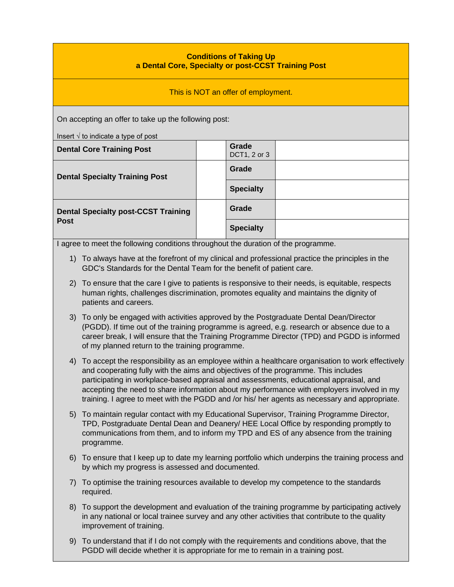## **Conditions of Taking Up a Dental Core, Specialty or post-CCST Training Post**

This is NOT an offer of employment.

On accepting an offer to take up the following post:

Insert √ to indicate a type of post

| moon y to maloato a type or post                          |  |                       |  |  |
|-----------------------------------------------------------|--|-----------------------|--|--|
| <b>Dental Core Training Post</b>                          |  | Grade<br>DCT1, 2 or 3 |  |  |
| <b>Dental Specialty Training Post</b>                     |  | Grade                 |  |  |
|                                                           |  | <b>Specialty</b>      |  |  |
| <b>Dental Specialty post-CCST Training</b><br><b>Post</b> |  | Grade                 |  |  |
|                                                           |  | <b>Specialty</b>      |  |  |

I agree to meet the following conditions throughout the duration of the programme.

- 1) To always have at the forefront of my clinical and professional practice the principles in the GDC's Standards for the Dental Team for the benefit of patient care.
- 2) To ensure that the care I give to patients is responsive to their needs, is equitable, respects human rights, challenges discrimination, promotes equality and maintains the dignity of patients and careers.
- 3) To only be engaged with activities approved by the Postgraduate Dental Dean/Director (PGDD). If time out of the training programme is agreed, e.g. research or absence due to a career break, I will ensure that the Training Programme Director (TPD) and PGDD is informed of my planned return to the training programme.
- 4) To accept the responsibility as an employee within a healthcare organisation to work effectively and cooperating fully with the aims and objectives of the programme. This includes participating in workplace-based appraisal and assessments, educational appraisal, and accepting the need to share information about my performance with employers involved in my training. I agree to meet with the PGDD and /or his/ her agents as necessary and appropriate.
- 5) To maintain regular contact with my Educational Supervisor, Training Programme Director, TPD, Postgraduate Dental Dean and Deanery/ HEE Local Office by responding promptly to communications from them, and to inform my TPD and ES of any absence from the training programme.
- 6) To ensure that I keep up to date my learning portfolio which underpins the training process and by which my progress is assessed and documented.
- 7) To optimise the training resources available to develop my competence to the standards required.
- 8) To support the development and evaluation of the training programme by participating actively in any national or local trainee survey and any other activities that contribute to the quality improvement of training.
- 9) To understand that if I do not comply with the requirements and conditions above, that the PGDD will decide whether it is appropriate for me to remain in a training post.